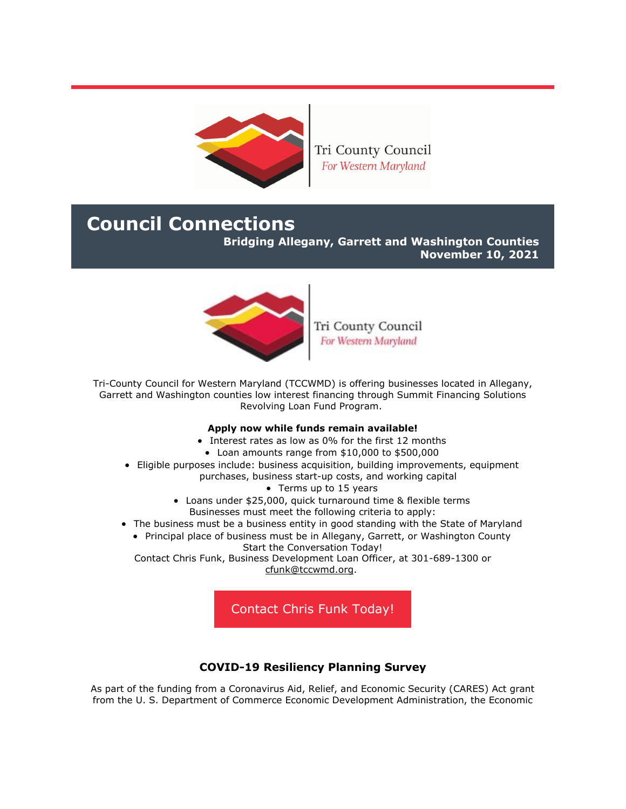

Tri County Council For Western Maryland

# **Council Connections**

**Bridging Allegany, Garrett and Washington Counties**

**November 10, 2021**



Tri County Council For Western Maryland

Tri-County Council for Western Maryland (TCCWMD) is offering businesses located in Allegany, Garrett and Washington counties low interest financing through Summit Financing Solutions Revolving Loan Fund Program.

#### **Apply now while funds remain available!**

- Interest rates as low as 0% for the first 12 months
- Loan amounts range from \$10,000 to \$500,000
- Eligible purposes include: business acquisition, building improvements, equipment purchases, business start-up costs, and working capital
	- Terms up to 15 years
	- Loans under \$25,000, quick turnaround time & flexible terms Businesses must meet the following criteria to apply:
- The business must be a business entity in good standing with the State of Maryland
	- Principal place of business must be in Allegany, Garrett, or Washington County Start the Conversation Today!

Contact Chris Funk, Business Development Loan Officer, at 301-689-1300 or [cfunk@tccwmd.org.](mailto:cfunk@tccwmd.org)

[Contact Chris Funk Today!](mailto:cfunk@tccwmd.org)

## **COVID-19 Resiliency Planning Survey**

As part of the funding from a Coronavirus Aid, Relief, and Economic Security (CARES) Act grant from the U. S. Department of Commerce Economic Development Administration, the Economic